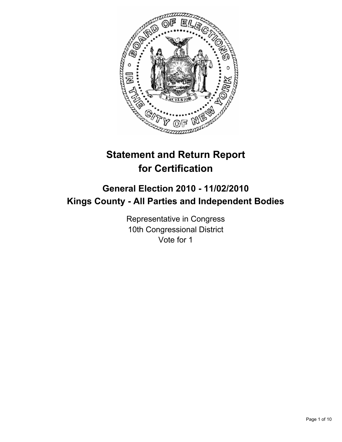

# **Statement and Return Report for Certification**

## **General Election 2010 - 11/02/2010 Kings County - All Parties and Independent Bodies**

Representative in Congress 10th Congressional District Vote for 1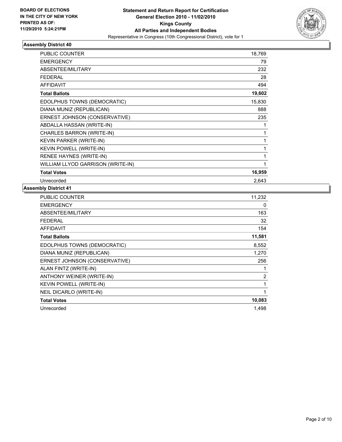

| <b>PUBLIC COUNTER</b>             | 18,769 |
|-----------------------------------|--------|
| <b>EMERGENCY</b>                  | 79     |
| ABSENTEE/MILITARY                 | 232    |
| <b>FEDERAL</b>                    | 28     |
| <b>AFFIDAVIT</b>                  | 494    |
| <b>Total Ballots</b>              | 19,602 |
| EDOLPHUS TOWNS (DEMOCRATIC)       | 15,830 |
| DIANA MUNIZ (REPUBLICAN)          | 888    |
| ERNEST JOHNSON (CONSERVATIVE)     | 235    |
| ABDALLA HASSAN (WRITE-IN)         | 1      |
| CHARLES BARRON (WRITE-IN)         | 1      |
| KEVIN PARKER (WRITE-IN)           | 1      |
| <b>KEVIN POWELL (WRITE-IN)</b>    | 1      |
| RENEE HAYNES (WRITE-IN)           | 1      |
| WILLIAM LLYOD GARRISON (WRITE-IN) | 1      |
| <b>Total Votes</b>                | 16,959 |
| Unrecorded                        | 2,643  |

| <b>PUBLIC COUNTER</b>         | 11,232         |
|-------------------------------|----------------|
| <b>EMERGENCY</b>              | 0              |
| ABSENTEE/MILITARY             | 163            |
| <b>FEDERAL</b>                | 32             |
| AFFIDAVIT                     | 154            |
| <b>Total Ballots</b>          | 11,581         |
| EDOLPHUS TOWNS (DEMOCRATIC)   | 8,552          |
| DIANA MUNIZ (REPUBLICAN)      | 1,270          |
| ERNEST JOHNSON (CONSERVATIVE) | 256            |
| ALAN FINTZ (WRITE-IN)         | 1              |
| ANTHONY WEINER (WRITE-IN)     | $\overline{2}$ |
| KEVIN POWELL (WRITE-IN)       | 1              |
| NEIL DICARLO (WRITE-IN)       | 1              |
| <b>Total Votes</b>            | 10,083         |
| Unrecorded                    | 1,498          |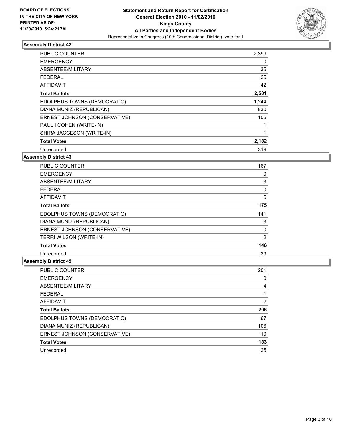

| <b>PUBLIC COUNTER</b>         | 2,399       |
|-------------------------------|-------------|
| <b>EMERGENCY</b>              | 0           |
| ABSENTEE/MILITARY             | 35          |
| <b>FEDERAL</b>                | 25          |
| AFFIDAVIT                     | 42          |
| <b>Total Ballots</b>          | 2,501       |
| EDOLPHUS TOWNS (DEMOCRATIC)   | 1,244       |
| DIANA MUNIZ (REPUBLICAN)      | 830         |
| ERNEST JOHNSON (CONSERVATIVE) | 106         |
| PAUL I COHEN (WRITE-IN)       | $\mathbf 1$ |
| SHIRA JACCESON (WRITE-IN)     | 1           |
| <b>Total Votes</b>            | 2,182       |
| Unrecorded                    | 319         |

#### **Assembly District 43**

| <b>PUBLIC COUNTER</b>         | 167 |
|-------------------------------|-----|
| <b>EMERGENCY</b>              | 0   |
| ABSENTEE/MILITARY             | 3   |
| <b>FEDERAL</b>                | 0   |
| AFFIDAVIT                     | 5   |
| <b>Total Ballots</b>          | 175 |
| EDOLPHUS TOWNS (DEMOCRATIC)   | 141 |
| DIANA MUNIZ (REPUBLICAN)      | 3   |
| ERNEST JOHNSON (CONSERVATIVE) | 0   |
| TERRI WILSON (WRITE-IN)       | 2   |
| <b>Total Votes</b>            | 146 |
| Unrecorded                    | 29  |

| <b>PUBLIC COUNTER</b>         | 201 |
|-------------------------------|-----|
| <b>EMERGENCY</b>              | 0   |
| ABSENTEE/MILITARY             | 4   |
| <b>FEDERAL</b>                |     |
| <b>AFFIDAVIT</b>              | 2   |
| <b>Total Ballots</b>          | 208 |
| EDOLPHUS TOWNS (DEMOCRATIC)   | 67  |
| DIANA MUNIZ (REPUBLICAN)      | 106 |
| ERNEST JOHNSON (CONSERVATIVE) | 10  |
| <b>Total Votes</b>            | 183 |
| Unrecorded                    | 25  |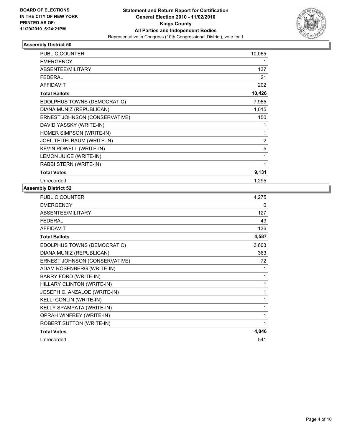

| PUBLIC COUNTER                | 10,065         |
|-------------------------------|----------------|
| <b>EMERGENCY</b>              | 1              |
| ABSENTEE/MILITARY             | 137            |
| <b>FEDERAL</b>                | 21             |
| <b>AFFIDAVIT</b>              | 202            |
| <b>Total Ballots</b>          | 10,426         |
| EDOLPHUS TOWNS (DEMOCRATIC)   | 7,955          |
| DIANA MUNIZ (REPUBLICAN)      | 1,015          |
| ERNEST JOHNSON (CONSERVATIVE) | 150            |
| DAVID YASSKY (WRITE-IN)       | 1              |
| HOMER SIMPSON (WRITE-IN)      | 1              |
| JOEL TEITELBAUM (WRITE-IN)    | $\overline{2}$ |
| KEVIN POWELL (WRITE-IN)       | 5              |
| LEMON JUICE (WRITE-IN)        | 1              |
| RABBI STERN (WRITE-IN)        | 1              |
| <b>Total Votes</b>            | 9,131          |
| Unrecorded                    | 1,295          |

| PUBLIC COUNTER                 | 4,275 |
|--------------------------------|-------|
| <b>EMERGENCY</b>               | 0     |
| ABSENTEE/MILITARY              | 127   |
| <b>FEDERAL</b>                 | 49    |
| <b>AFFIDAVIT</b>               | 136   |
| <b>Total Ballots</b>           | 4,587 |
| EDOLPHUS TOWNS (DEMOCRATIC)    | 3,603 |
| DIANA MUNIZ (REPUBLICAN)       | 363   |
| ERNEST JOHNSON (CONSERVATIVE)  | 72    |
| ADAM ROSENBERG (WRITE-IN)      | 1     |
| BARRY FORD (WRITE-IN)          | 1     |
| HILLARY CLINTON (WRITE-IN)     | 1     |
| JOSEPH C. ANZALOE (WRITE-IN)   | 1     |
| <b>KELLI CONLIN (WRITE-IN)</b> | 1     |
| KELLY SPAMPATA (WRITE-IN)      | 1     |
| OPRAH WINFREY (WRITE-IN)       | 1     |
| ROBERT SUTTON (WRITE-IN)       |       |
| <b>Total Votes</b>             | 4,046 |
| Unrecorded                     | 541   |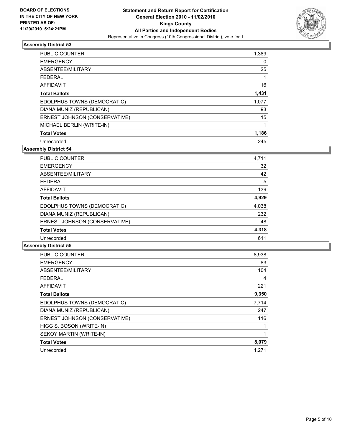

| <b>PUBLIC COUNTER</b>         | 1,389 |
|-------------------------------|-------|
| <b>EMERGENCY</b>              | 0     |
| ABSENTEE/MILITARY             | 25    |
| <b>FEDERAL</b>                | 1     |
| <b>AFFIDAVIT</b>              | 16    |
| <b>Total Ballots</b>          | 1,431 |
| EDOLPHUS TOWNS (DEMOCRATIC)   | 1,077 |
| DIANA MUNIZ (REPUBLICAN)      | 93    |
| ERNEST JOHNSON (CONSERVATIVE) | 15    |
| MICHAEL BERLIN (WRITE-IN)     | 1     |
| <b>Total Votes</b>            | 1,186 |
| Unrecorded                    | 245   |

**Assembly District 54**

| <b>PUBLIC COUNTER</b>         | 4.711 |
|-------------------------------|-------|
| <b>EMERGENCY</b>              | 32    |
| ABSENTEE/MILITARY             | 42    |
| <b>FEDERAL</b>                | 5     |
| <b>AFFIDAVIT</b>              | 139   |
| <b>Total Ballots</b>          | 4,929 |
| EDOLPHUS TOWNS (DEMOCRATIC)   | 4,038 |
| DIANA MUNIZ (REPUBLICAN)      | 232   |
| ERNEST JOHNSON (CONSERVATIVE) | 48    |
| <b>Total Votes</b>            | 4,318 |
| Unrecorded                    | 611   |

| <b>PUBLIC COUNTER</b>         | 8,938 |
|-------------------------------|-------|
| <b>EMERGENCY</b>              | 83    |
| ABSENTEE/MILITARY             | 104   |
| <b>FEDERAL</b>                | 4     |
| <b>AFFIDAVIT</b>              | 221   |
| <b>Total Ballots</b>          | 9,350 |
| EDOLPHUS TOWNS (DEMOCRATIC)   | 7,714 |
| DIANA MUNIZ (REPUBLICAN)      | 247   |
| ERNEST JOHNSON (CONSERVATIVE) | 116   |
| HIGG S. BOSON (WRITE-IN)      |       |
| SEKOY MARTIN (WRITE-IN)       | 1     |
| <b>Total Votes</b>            | 8,079 |
| Unrecorded                    | 1,271 |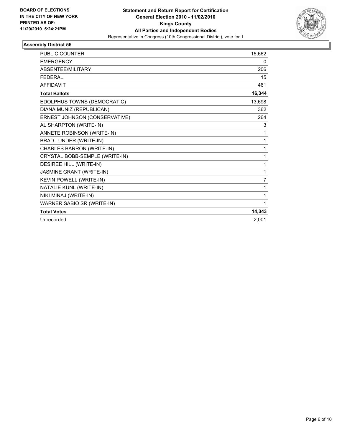

| <b>PUBLIC COUNTER</b>          | 15,662 |
|--------------------------------|--------|
| <b>EMERGENCY</b>               | 0      |
| ABSENTEE/MILITARY              | 206    |
| <b>FEDERAL</b>                 | 15     |
| <b>AFFIDAVIT</b>               | 461    |
| <b>Total Ballots</b>           | 16,344 |
| EDOLPHUS TOWNS (DEMOCRATIC)    | 13,698 |
| DIANA MUNIZ (REPUBLICAN)       | 362    |
| ERNEST JOHNSON (CONSERVATIVE)  | 264    |
| AL SHARPTON (WRITE-IN)         | 3      |
| ANNETE ROBINSON (WRITE-IN)     | 1      |
| BRAD LUNDER (WRITE-IN)         | 1      |
| CHARLES BARRON (WRITE-IN)      | 1      |
| CRYSTAL BOBB-SEMPLE (WRITE-IN) | 1      |
| DESIREE HILL (WRITE-IN)        | 1      |
| JASMINE GRANT (WRITE-IN)       | 1      |
| KEVIN POWELL (WRITE-IN)        | 7      |
| NATALIE KUNL (WRITE-IN)        | 1      |
| NIKI MINAJ (WRITE-IN)          | 1      |
| WARNER SABIO SR (WRITE-IN)     | 1      |
| <b>Total Votes</b>             | 14,343 |
| Unrecorded                     | 2,001  |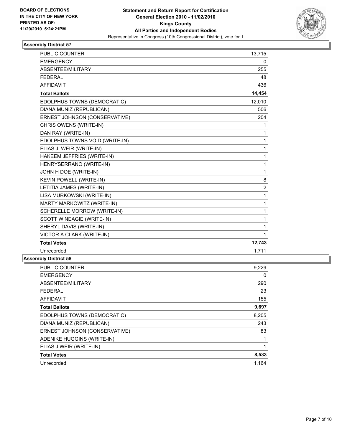

| <b>PUBLIC COUNTER</b>          | 13,715         |
|--------------------------------|----------------|
| <b>EMERGENCY</b>               | 0              |
| ABSENTEE/MILITARY              | 255            |
| <b>FEDERAL</b>                 | 48             |
| <b>AFFIDAVIT</b>               | 436            |
| <b>Total Ballots</b>           | 14,454         |
| EDOLPHUS TOWNS (DEMOCRATIC)    | 12,010         |
| DIANA MUNIZ (REPUBLICAN)       | 506            |
| ERNEST JOHNSON (CONSERVATIVE)  | 204            |
| CHRIS OWENS (WRITE-IN)         | 1              |
| DAN RAY (WRITE-IN)             | 1              |
| EDOLPHUS TOWNS VOID (WRITE-IN) | 1              |
| ELIAS J. WEIR (WRITE-IN)       | 1              |
| HAKEEM JEFFRIES (WRITE-IN)     | $\mathbf{1}$   |
| HENRYSERRANO (WRITE-IN)        | 1              |
| JOHN H DOE (WRITE-IN)          | 1              |
| KEVIN POWELL (WRITE-IN)        | 8              |
| LETITIA JAMES (WRITE-IN)       | $\overline{2}$ |
| LISA MURKOWSKI (WRITE-IN)      | 1              |
| MARTY MARKOWITZ (WRITE-IN)     | 1              |
| SCHERELLE MORROW (WRITE-IN)    | $\mathbf 1$    |
| SCOTT W NEAGIE (WRITE-IN)      | 1              |
| SHERYL DAVIS (WRITE-IN)        | 1              |
| VICTOR A CLARK (WRITE-IN)      | 1              |
| <b>Total Votes</b>             | 12,743         |
| Unrecorded                     | 1,711          |
|                                |                |

| <b>PUBLIC COUNTER</b>         | 9,229 |
|-------------------------------|-------|
| <b>EMERGENCY</b>              | 0     |
| ABSENTEE/MILITARY             | 290   |
| <b>FEDERAL</b>                | 23    |
| <b>AFFIDAVIT</b>              | 155   |
| <b>Total Ballots</b>          | 9,697 |
| EDOLPHUS TOWNS (DEMOCRATIC)   | 8,205 |
| DIANA MUNIZ (REPUBLICAN)      | 243   |
| ERNEST JOHNSON (CONSERVATIVE) | 83    |
| ADENIKE HUGGINS (WRITE-IN)    |       |
| ELIAS J WEIR (WRITE-IN)       |       |
| <b>Total Votes</b>            | 8,533 |
| Unrecorded                    | 1,164 |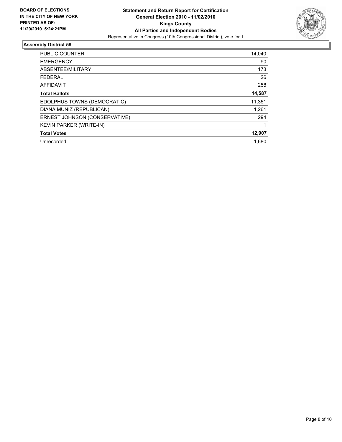

| <b>PUBLIC COUNTER</b>          | 14,040 |
|--------------------------------|--------|
| <b>EMERGENCY</b>               | 90     |
| ABSENTEE/MILITARY              | 173    |
| <b>FEDERAL</b>                 | 26     |
| <b>AFFIDAVIT</b>               | 258    |
| <b>Total Ballots</b>           | 14,587 |
| EDOLPHUS TOWNS (DEMOCRATIC)    | 11,351 |
| DIANA MUNIZ (REPUBLICAN)       | 1,261  |
| ERNEST JOHNSON (CONSERVATIVE)  | 294    |
| <b>KEVIN PARKER (WRITE-IN)</b> |        |
| <b>Total Votes</b>             | 12,907 |
| Unrecorded                     | 1,680  |
|                                |        |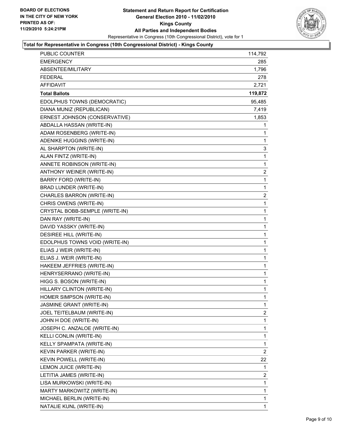

#### **Total for Representative in Congress (10th Congressional District) - Kings County**

| PUBLIC COUNTER                 | 114,792      |
|--------------------------------|--------------|
| <b>EMERGENCY</b>               | 285          |
| ABSENTEE/MILITARY              | 1,796        |
| <b>FEDERAL</b>                 | 278          |
| <b>AFFIDAVIT</b>               | 2,721        |
| <b>Total Ballots</b>           | 119,872      |
| EDOLPHUS TOWNS (DEMOCRATIC)    | 95,485       |
| DIANA MUNIZ (REPUBLICAN)       | 7,419        |
| ERNEST JOHNSON (CONSERVATIVE)  | 1,853        |
| ABDALLA HASSAN (WRITE-IN)      | 1            |
| ADAM ROSENBERG (WRITE-IN)      | 1            |
| ADENIKE HUGGINS (WRITE-IN)     | 1            |
| AL SHARPTON (WRITE-IN)         | 3            |
| ALAN FINTZ (WRITE-IN)          | 1            |
| ANNETE ROBINSON (WRITE-IN)     | 1            |
| ANTHONY WEINER (WRITE-IN)      | 2            |
| BARRY FORD (WRITE-IN)          | 1            |
| BRAD LUNDER (WRITE-IN)         | 1            |
| CHARLES BARRON (WRITE-IN)      | 2            |
| CHRIS OWENS (WRITE-IN)         | 1            |
| CRYSTAL BOBB-SEMPLE (WRITE-IN) | 1            |
| DAN RAY (WRITE-IN)             | 1            |
| DAVID YASSKY (WRITE-IN)        | 1            |
| DESIREE HILL (WRITE-IN)        | 1            |
| EDOLPHUS TOWNS VOID (WRITE-IN) | 1            |
| ELIAS J WEIR (WRITE-IN)        | 1            |
| ELIAS J. WEIR (WRITE-IN)       | 1            |
| HAKEEM JEFFRIES (WRITE-IN)     | 1            |
| HENRYSERRANO (WRITE-IN)        | 1            |
| HIGG S. BOSON (WRITE-IN)       | $\mathbf 1$  |
| HILLARY CLINTON (WRITE-IN)     | 1            |
| HOMER SIMPSON (WRITE-IN)       | 1            |
| JASMINE GRANT (WRITE-IN)       | $\mathbf 1$  |
| JOEL TEITELBAUM (WRITE-IN)     | $\mathbf{2}$ |
| JOHN H DOE (WRITE-IN)          | 1            |
| JOSEPH C. ANZALOE (WRITE-IN)   | 1            |
| KELLI CONLIN (WRITE-IN)        | 1            |
| KELLY SPAMPATA (WRITE-IN)      | 1            |
| KEVIN PARKER (WRITE-IN)        | 2            |
| <b>KEVIN POWELL (WRITE-IN)</b> | 22           |
| LEMON JUICE (WRITE-IN)         | 1            |
| LETITIA JAMES (WRITE-IN)       | 2            |
| LISA MURKOWSKI (WRITE-IN)      | 1            |
| MARTY MARKOWITZ (WRITE-IN)     | 1            |
| MICHAEL BERLIN (WRITE-IN)      | 1            |
| NATALIE KUNL (WRITE-IN)        | $\mathbf{1}$ |